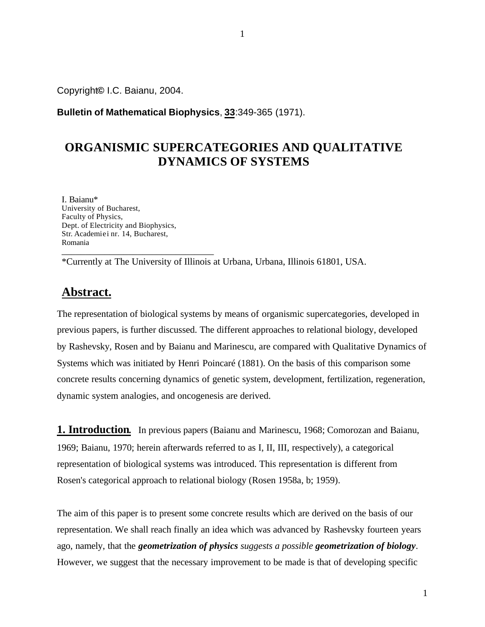Copyright**©** I.C. Baianu, 2004.

**Bulletin of Mathematical Biophysics**, **33**:349-365 (1971).

# **ORGANISMIC SUPERCATEGORIES AND QUALITATIVE DYNAMICS OF SYSTEMS**

I. Baianu\* University of Bucharest, Faculty of Physics, Dept. of Electricity and Biophysics, Str. Academiei nr. 14, Bucharest, Romania \_\_\_\_\_\_\_\_\_\_\_\_\_\_\_\_\_\_\_\_\_\_\_\_\_\_\_\_\_\_\_\_

\*Currently at The University of Illinois at Urbana, Urbana, Illinois 61801, USA.

# **Abstract.**

The representation of biological systems by means of organismic supercategories, developed in previous papers, is further discussed. The different approaches to relational biology, developed by Rashevsky, Rosen and by Baianu and Marinescu, are compared with Qualitative Dynamics of Systems which was initiated by Henri Poincaré (1881). On the basis of this comparison some concrete results concerning dynamics of genetic system, development, fertilization, regeneration, dynamic system analogies, and oncogenesis are derived.

**1. Introduction.** In previous papers (Baianu and Marinescu, 1968; Comorozan and Baianu, 1969; Baianu, 1970; herein afterwards referred to as I, II, III, respectively), a categorical representation of biological systems was introduced. This representation is different from Rosen's categorical approach to relational biology (Rosen 1958a, b; 1959).

The aim of this paper is to present some concrete results which are derived on the basis of our representation. We shall reach finally an idea which was advanced by Rashevsky fourteen years ago, namely, that the *geometrization of physics suggests a possible geometrization of biology*. However, we suggest that the necessary improvement to be made is that of developing specific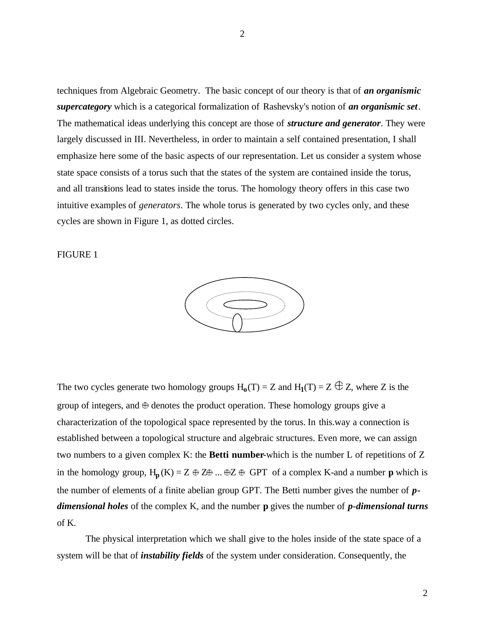techniques from Algebraic Geometry. The basic concept of our theory is that of *an organismic supercategory* which is a categorical formalization of Rashevsky's notion of *an organismic set*. The mathematical ideas underlying this concept are those of *structure and generator*. They were largely discussed in III. Nevertheless, in order to maintain a self contained presentation, I shall emphasize here some of the basic aspects of our representation. Let us consider a system whose state space consists of a torus such that the states of the system are contained inside the torus, and all transitions lead to states inside the torus. The homology theory offers in this case two intuitive examples of *generators*. The whole torus is generated by two cycles only, and these cycles are shown in Figure 1, as dotted circles.

FIGURE 1



The two cycles generate two homology groups  $H_0(T) = Z$  and  $H_1(T) = Z \oplus Z$ , where Z is the group of integers, and  $\oplus$  denotes the product operation. These homology groups give a characterization of the topological space represented by the torus. In this.way a connection is established between a topological structure and algebraic structures. Even more, we can assign two numbers to a given complex K: the **Betti number**-which is the number L of repetitions of Z in the homology group,  $H_p(K) = Z \oplus Z \oplus ... \oplus Z \oplus GPT$  of a complex K-and a number **p** which is the number of elements of a finite abelian group GPT. The Betti number gives the number of *pdimensional holes* of the complex K, and the number **p** gives the number of *p-dimensional turns* of K.

The physical interpretation which we shall give to the holes inside of the state space of a system will be that of *instability fields* of the system under consideration. Consequently, the

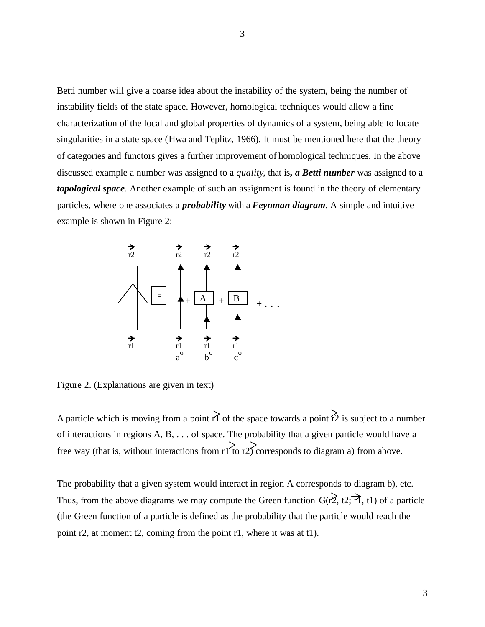Betti number will give a coarse idea about the instability of the system, being the number of instability fields of the state space. However, homological techniques would allow a fine characterization of the local and global properties of dynamics of a system, being able to locate singularities in a state space (Hwa and Teplitz, 1966). It must be mentioned here that the theory of categories and functors gives a further improvement of homological techniques. In the above discussed example a number was assigned to a *quality*, that is*, a Betti number* was assigned to a *topological space*. Another example of such an assignment is found in the theory of elementary particles, where one associates a *probability* with a *Feynman diagram*. A simple and intuitive example is shown in Figure 2:



Figure 2. (Explanations are given in text)

A particle which is moving from a point  $\overrightarrow{1}$  of the space towards a point  $\overrightarrow{12}$  is subject to a number of interactions in regions A, B, . . . of space. The probability that a given particle would have a free way (that is, without interactions from r1 to r2) corresponds to diagram a) from above.

The probability that a given system would interact in region A corresponds to diagram b), etc. Thus, from the above diagrams we may compute the Green function  $G(\vec{r2}, t2; \vec{\tau1}, t1)$  of a particle (the Green function of a particle is defined as the probability that the particle would reach the point r2, at moment t2, coming from the point r1, where it was at t1).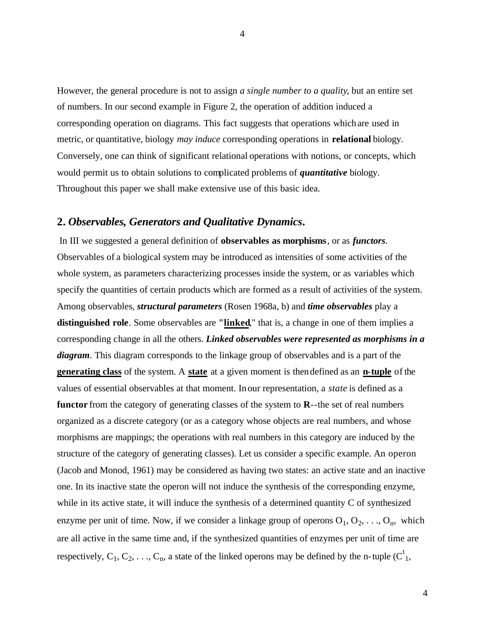However, the general procedure is not to assign *a single number to a quality*, but an entire set of numbers. In our second example in Figure 2, the operation of addition induced a corresponding operation on diagrams. This fact suggests that operations whichare used in metric, or quantitative, biology *may induce* corresponding operations in **relational** biology. Conversely, one can think of significant relational operations with notions, or concepts, which would permit us to obtain solutions to complicated problems of *quantitative* biology. Throughout this paper we shall make extensive use of this basic idea.

## **2.** *Observables, Generators and Qualitative Dynamics***.**

In III we suggested a general definition of **observables as morphisms**, or as *functors*. Observables of a biological system may be introduced as intensities of some activities of the whole system, as parameters characterizing processes inside the system, or as variables which specify the quantities of certain products which are formed as a result of activities of the system. Among observables, *structural parameters* (Rosen 1968a, b) and *time observables* play a **distinguished role**. Some observables are **"linked**," that is, a change in one of them implies a corresponding change in all the others. *Linked observables were represented as morphisms in a diagram*. This diagram corresponds to the linkage group of observables and is a part of the **generating class** of the system. A **state** at a given moment is thendefined as an **n-tuple** of the values of essential observables at that moment. Inour representation, a *state* is defined as a **functor** from the category of generating classes of the system to **R**--the set of real numbers organized as a discrete category (or as a category whose objects are real numbers, and whose morphisms are mappings; the operations with real numbers in this category are induced by the structure of the category of generating classes). Let us consider a specific example. An operon (Jacob and Monod, 1961) may be considered as having two states: an active state and an inactive one. In its inactive state the operon will not induce the synthesis of the corresponding enzyme, while in its active state, it will induce the synthesis of a determined quantity C of synthesized enzyme per unit of time. Now, if we consider a linkage group of operons  $O_1, O_2, \ldots, O_n$ , which are all active in the same time and, if the synthesized quantities of enzymes per unit of time are respectively,  $C_1, C_2, \ldots, C_n$ , a state of the linked operons may be defined by the n-tuple ( $C_1^t$ ,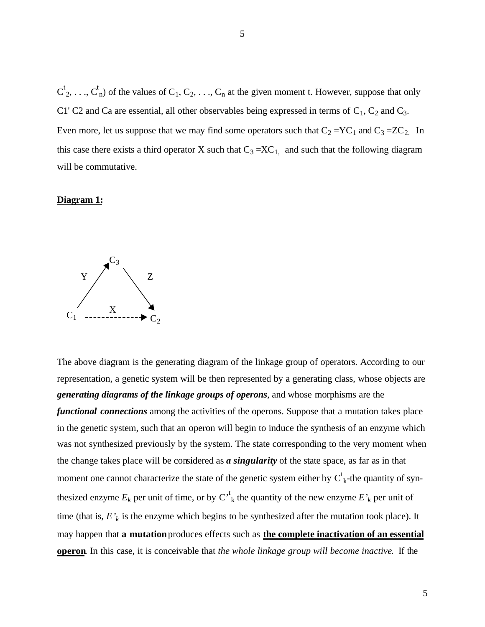$C^t_2, \ldots, C^t_n$  of the values of  $C_1, C_2, \ldots, C_n$  at the given moment t. However, suppose that only C1' C2 and Ca are essential, all other observables being expressed in terms of  $C_1$ ,  $C_2$  and  $C_3$ . Even more, let us suppose that we may find some operators such that  $C_2 = YC_1$  and  $C_3 = ZC_2$ . In this case there exists a third operator X such that  $C_3 = XC_1$ , and such that the following diagram will be commutative.

### **Diagram 1:**



The above diagram is the generating diagram of the linkage group of operators. According to our representation, a genetic system will be then represented by a generating class, whose objects are *generating diagrams of the linkage groups of operons*, and whose morphisms are the *functional connections* among the activities of the operons. Suppose that a mutation takes place in the genetic system, such that an operon will begin to induce the synthesis of an enzyme which was not synthesized previously by the system. The state corresponding to the very moment when the change takes place will be considered as *a singularity* of the state space, as far as in that moment one cannot characterize the state of the genetic system either by  $C^t_{k}$ -the quantity of synthesized enzyme  $E_k$  per unit of time, or by  $C^{\text{t}}_k$  the quantity of the new enzyme  $E'_k$  per unit of time (that is,  $E'$ <sup>*k*</sup> is the enzyme which begins to be synthesized after the mutation took place). It may happen that **a mutation** produces effects such as **the complete inactivation of an essential operon**. In this case, it is conceivable that *the whole linkage group will become inactive*. If the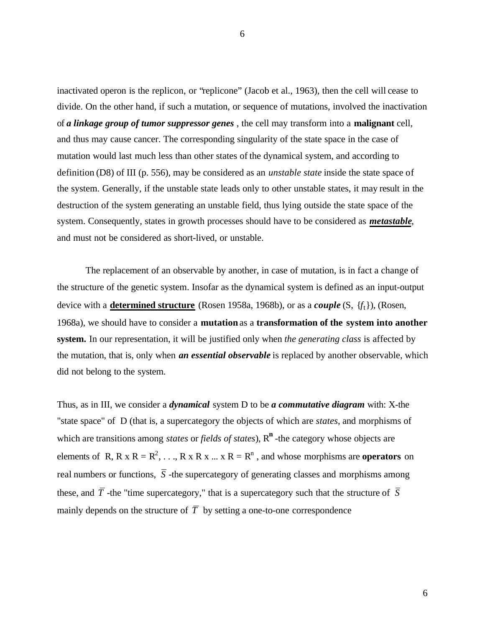inactivated operon is the replicon, or "replicone" (Jacob et al., 1963), then the cell will cease to divide. On the other hand, if such a mutation, or sequence of mutations, involved the inactivation of *a linkage group of tumor suppressor genes* , the cell may transform into a **malignant** cell, and thus may cause cancer. The corresponding singularity of the state space in the case of mutation would last much less than other states of the dynamical system, and according to definition (D8) of III (p. 556), may be considered as an *unstable state* inside the state space of the system. Generally, if the unstable state leads only to other unstable states, it may result in the destruction of the system generating an unstable field, thus lying outside the state space of the system. Consequently, states in growth processes should have to be considered as *metastable*, and must not be considered as short-lived, or unstable.

The replacement of an observable by another, in case of mutation, is in fact a change of the structure of the genetic system. Insofar as the dynamical system is defined as an input-output device with a **determined structure** (Rosen 1958a, 1968b), or as a *couple* (S, {*f*t}), (Rosen, 1968a), we should have to consider a **mutation** as a **transformation of the system into another system.** In our representation, it will be justified only when *the generating class* is affected by the mutation, that is, only when *an essential observable* is replaced by another observable, which did not belong to the system.

Thus, as in III, we consider a *dynamical* system D to be *a commutative diagram* with: X-the "state space" of D (that is, a supercategory the objects of which are *states*, and morphisms of which are transitions among *states* or *fields of states*),  $R^n$  -the category whose objects are elements of R, R x R =  $R^2$ , ..., R x R x ... x R =  $R^n$ , and whose morphisms are **operators** on real numbers or functions,  $\overline{S}$  -the supercategory of generating classes and morphisms among these, and  $\overline{T}$  -the "time supercategory," that is a supercategory such that the structure of  $\overline{S}$ mainly depends on the structure of  $\overline{T}$  by setting a one-to-one correspondence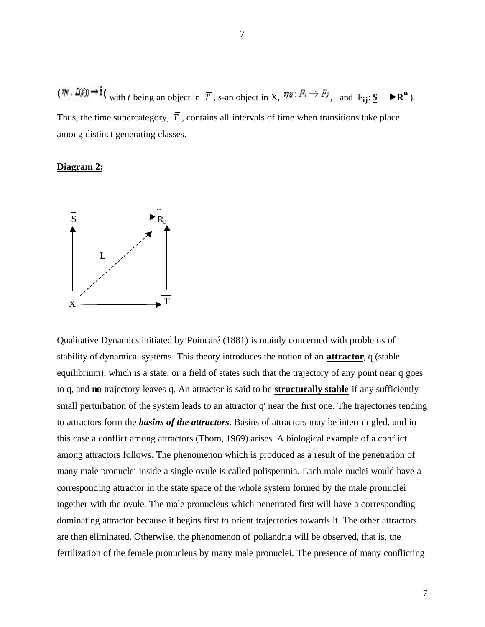with *t* being an object in  $\overline{T}$ , s-an object in X,  $\eta \overline{v}$ :  $F_i \rightarrow F_j$ , and  $F_{ij}: \underline{S} \longrightarrow \mathbb{R}^n$ ). Thus, the time supercategory,  $\overline{T}$ , contains all intervals of time when transitions take place among distinct generating classes.

### **Diagram 2:**



Qualitative Dynamics initiated by Poincaré (1881) is mainly concerned with problems of stability of dynamical systems. This theory introduces the notion of an **attractor**, q (stable equilibrium), which is a state, or a field of states such that the trajectory of any point near q goes to q, and **no** trajectory leaves q. An attractor is said to be **structurally stable** if any sufficiently small perturbation of the system leads to an attractor q' near the first one. The trajectories tending to attractors form the *basins of the attractors*. Basins of attractors may be intermingled, and in this case a conflict among attractors (Thom, 1969) arises. A biological example of a conflict among attractors follows. The phenomenon which is produced as a result of the penetration of many male pronuclei inside a single ovule is called polispermia. Each male nuclei would have a corresponding attractor in the state space of the whole system formed by the male pronuclei together with the ovule. The male pronucleus which penetrated first will have a corresponding dominating attractor because it begins first to orient trajectories towards it. The other attractors are then eliminated. Otherwise, the phenomenon of poliandria will be observed, that is, the fertilization of the female pronucleus by many male pronuclei. The presence of many conflicting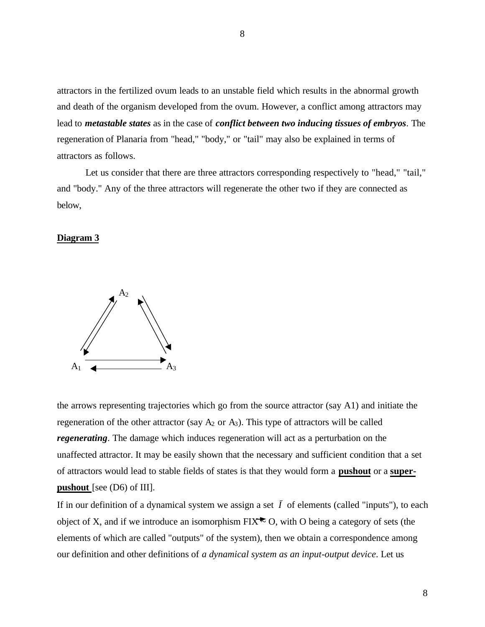attractors in the fertilized ovum leads to an unstable field which results in the abnormal growth and death of the organism developed from the ovum. However, a conflict among attractors may lead to *metastable states* as in the case of *conflict between two inducing tissues of embryos*. The regeneration of Planaria from "head," "body," or "tail" may also be explained in terms of attractors as follows.

Let us consider that there are three attractors corresponding respectively to "head," "tail," and "body." Any of the three attractors will regenerate the other two if they are connected as below,

### **Diagram 3**



the arrows representing trajectories which go from the source attractor (say A1) and initiate the regeneration of the other attractor (say  $A_2$  or  $A_3$ ). This type of attractors will be called *regenerating*. The damage which induces regeneration will act as a perturbation on the unaffected attractor. It may be easily shown that the necessary and sufficient condition that a set of attractors would lead to stable fields of states is that they would form a **pushout** or a **superpushout** [see (D6) of III].

If in our definition of a dynamical system we assign a set  $\bar{I}$  of elements (called "inputs"), to each object of X, and if we introduce an isomorphism  $\text{FIX}^{\blacktriangleright}$  O, with O being a category of sets (the elements of which are called "outputs" of the system), then we obtain a correspondence among our definition and other definitions of *a dynamical system as an input-output device*. Let us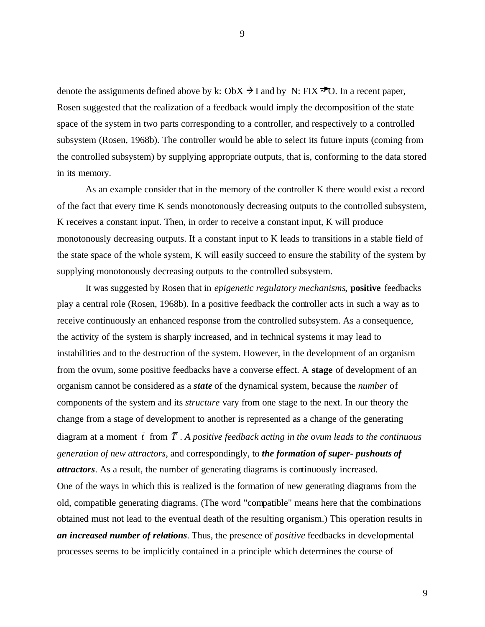denote the assignments defined above by k: ObX  $\rightarrow$  I and by N: FIX  $\rightarrow$  O. In a recent paper, Rosen suggested that the realization of a feedback would imply the decomposition of the state space of the system in two parts corresponding to a controller, and respectively to a controlled subsystem (Rosen, 1968b). The controller would be able to select its future inputs (coming from the controlled subsystem) by supplying appropriate outputs, that is, conforming to the data stored in its memory.

As an example consider that in the memory of the controller K there would exist a record of the fact that every time K sends monotonously decreasing outputs to the controlled subsystem, K receives a constant input. Then, in order to receive a constant input, K will produce monotonously decreasing outputs. If a constant input to K leads to transitions in a stable field of the state space of the whole system, K will easily succeed to ensure the stability of the system by supplying monotonously decreasing outputs to the controlled subsystem.

It was suggested by Rosen that in *epigenetic regulatory mechanisms*, **positive** feedbacks play a central role (Rosen, 1968b). In a positive feedback the controller acts in such a way as to receive continuously an enhanced response from the controlled subsystem. As a consequence, the activity of the system is sharply increased, and in technical systems it may lead to instabilities and to the destruction of the system. However, in the development of an organism from the ovum, some positive feedbacks have a converse effect. A **stage** of development of an organism cannot be considered as a *state* of the dynamical system, because the *number* of components of the system and its *structure* vary from one stage to the next. In our theory the change from a stage of development to another is represented as a change of the generating diagram at a moment  $\bar{t}$  from  $\bar{T}$ . A positive feedback acting in the ovum leads to the continuous *generation of new attractors*, and correspondingly, to *the formation of super- pushouts of attractors*. As a result, the number of generating diagrams is continuously increased. One of the ways in which this is realized is the formation of new generating diagrams from the old, compatible generating diagrams. (The word "compatible" means here that the combinations obtained must not lead to the eventual death of the resulting organism.) This operation results in *an increased number of relations*. Thus, the presence of *positive* feedbacks in developmental processes seems to be implicitly contained in a principle which determines the course of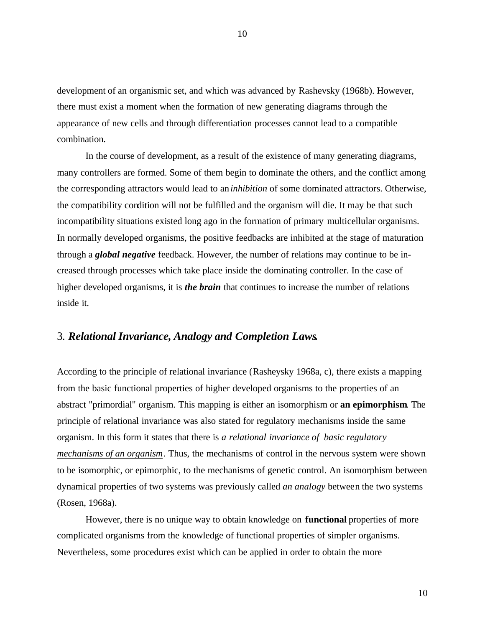development of an organismic set, and which was advanced by Rashevsky (1968b). However, there must exist a moment when the formation of new generating diagrams through the appearance of new cells and through differentiation processes cannot lead to a compatible combination.

In the course of development, as a result of the existence of many generating diagrams, many controllers are formed. Some of them begin to dominate the others, and the conflict among the corresponding attractors would lead to an*inhibition* of some dominated attractors. Otherwise, the compatibility condition will not be fulfilled and the organism will die. It may be that such incompatibility situations existed long ago in the formation of primary multicellular organisms. In normally developed organisms, the positive feedbacks are inhibited at the stage of maturation through a *global negative* feedback. However, the number of relations may continue to be increased through processes which take place inside the dominating controller. In the case of higher developed organisms, it is *the brain* that continues to increase the number of relations inside it.

# 3. *Relational Invariance, Analogy and Completion Laws***.**

According to the principle of relational invariance (Rasheysky 1968a, c), there exists a mapping from the basic functional properties of higher developed organisms to the properties of an abstract "primordial" organism. This mapping is either an isomorphism or **an epimorphism**. The principle of relational invariance was also stated for regulatory mechanisms inside the same organism. In this form it states that there is *a relational invariance of basic regulatory mechanisms of an organism*. Thus, the mechanisms of control in the nervous system were shown to be isomorphic, or epimorphic, to the mechanisms of genetic control. An isomorphism between dynamical properties of two systems was previously called *an analogy* between the two systems (Rosen, 1968a).

However, there is no unique way to obtain knowledge on **functional** properties of more complicated organisms from the knowledge of functional properties of simpler organisms. Nevertheless, some procedures exist which can be applied in order to obtain the more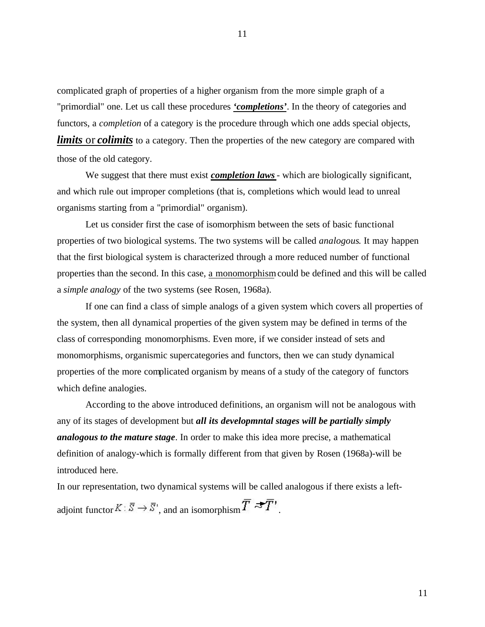complicated graph of properties of a higher organism from the more simple graph of a "primordial" one. Let us call these procedures *'completions'*. In the theory of categories and functors, a *completion* of a category is the procedure through which one adds special objects, *limits* or *colimits* to a category. Then the properties of the new category are compared with those of the old category.

We suggest that there must exist *completion laws* - which are biologically significant, and which rule out improper completions (that is, completions which would lead to unreal organisms starting from a "primordial" organism).

Let us consider first the case of isomorphism between the sets of basic functional properties of two biological systems. The two systems will be called *analogous*. It may happen that the first biological system is characterized through a more reduced number of functional properties than the second. In this case, a monomorphism could be defined and this will be called a *simple analogy* of the two systems (see Rosen, 1968a).

If one can find a class of simple analogs of a given system which covers all properties of the system, then all dynamical properties of the given system may be defined in terms of the class of corresponding monomorphisms. Even more, if we consider instead of sets and monomorphisms, organismic supercategories and functors, then we can study dynamical properties of the more complicated organism by means of a study of the category of functors which define analogies.

According to the above introduced definitions, an organism will not be analogous with any of its stages of development but *all its developmntal stages will be partially simply analogous to the mature stage*. In order to make this idea more precise, a mathematical definition of analogy-which is formally different from that given by Rosen (1968a)-will be introduced here.

In our representation, two dynamical systems will be called analogous if there exists a leftadjoint functor  $K: \overline{S} \to \overline{S}^1$ , and an isomorphism  $\overline{T} \to \overline{T}^1$ .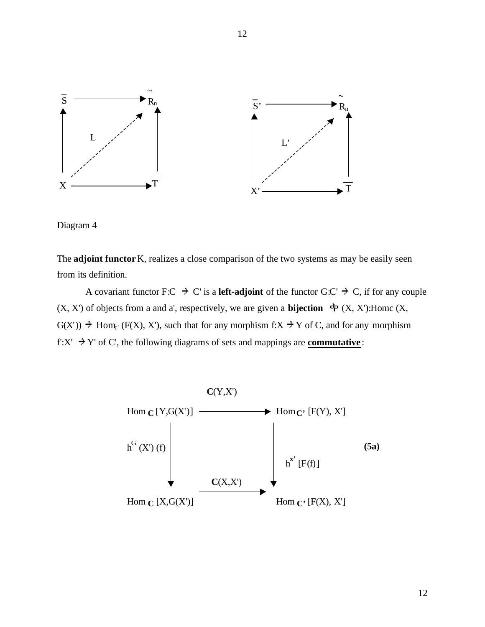

Diagram 4

The **adjoint functor** K, realizes a close comparison of the two systems as may be easily seen from its definition.

A covariant functor F:C  $\rightarrow$  C' is a **left-adjoint** of the functor G:C'  $\rightarrow$  C, if for any couple  $(X, X')$  of objects from a and a', respectively, we are given a **bijection**  $\Phi(X, X')$ : Home  $(X, X')$  $G(X')$  + Hom<sub>c</sub>' (F(X), X'), such that for any morphism f:X + Y of C, and for any morphism f: $X' \rightarrow Y'$  of C', the following diagrams of sets and mappings are **commutative**:

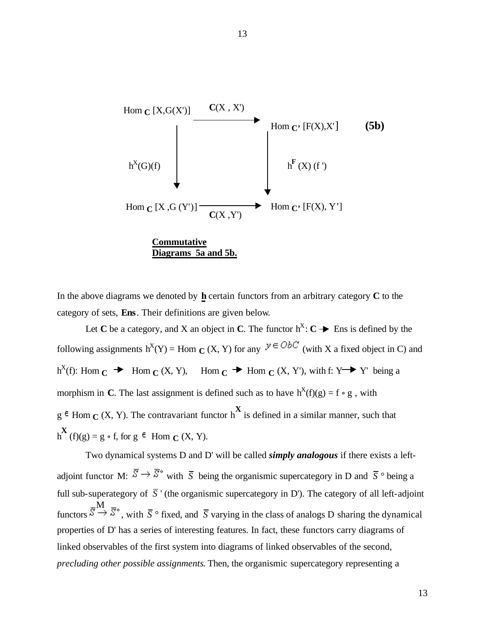

In the above diagrams we denoted by **h** certain functors from an arbitrary category **C** to the category of sets, **Ens**. Their definitions are given below.

Let **C** be a category, and X an object in **C**. The functor  $h^X: C \rightarrow \mathbb{R}$  Ens is defined by the following assignments  $h^{X}(Y) =$  Hom  $C(X, Y)$  for any  $Y \in ObC$  (with X a fixed object in C) and  $h^{X}(f)$ : Hom  $C \rightarrow$  Hom  $C(X, Y)$ , Hom  $C \rightarrow$  Hom  $C(X, Y')$ , with f: Y Y' being a morphism in **C**. The last assignment is defined such as to have  $h^X(f)(g) = f \circ g$ , with  $g \in$  Hom  $\mathbf{C}$  (X, Y). The contravariant functor  $h^{\mathbf{X}}$  is defined in a similar manner, such that  $h^{X}(f)(g) = g \circ f$ , for  $g \in \text{Hom}_{C}(X, Y)$ .

Two dynamical systems D and D' will be called *simply analogous* if there exists a leftadjoint functor M:  $\overline{S} \to \overline{S}^{\circ}$  with  $\overline{S}$  being the organismic supercategory in D and  $\overline{S}$  ° being a full sub-superategory of  $\overline{S}$  ' (the organismic supercategory in D'). The category of all left-adjoint functors  $S \to S^*$ , with  $\overline{S}$  ° fixed, and  $\overline{S}$  varying in the class of analogs D sharing the dynamical properties of D' has a series of interesting features. In fact, these functors carry diagrams of linked observables of the first system into diagrams of linked observables of the second, *precluding other possible assignments*. Then, the organismic supercategory representing a M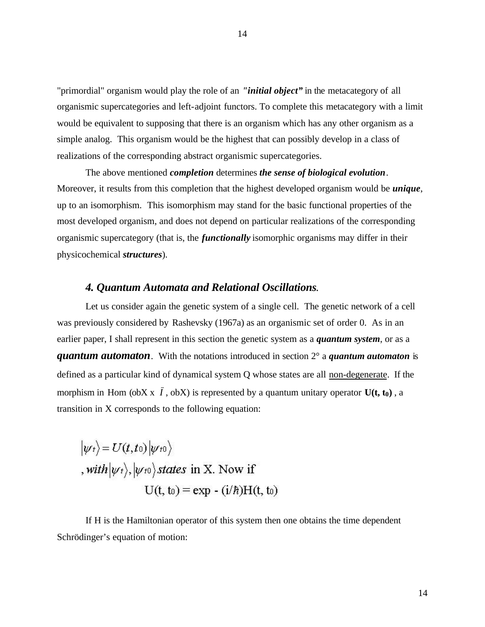"primordial" organism would play the role of an *"initial object"* in the metacategory of all organismic supercategories and left-adjoint functors. To complete this metacategory with a limit would be equivalent to supposing that there is an organism which has any other organism as a simple analog. This organism would be the highest that can possibly develop in a class of realizations of the corresponding abstract organismic supercategories.

The above mentioned *completion* determines *the sense of biological evolution*. Moreover, it results from this completion that the highest developed organism would be *unique*, up to an isomorphism. This isomorphism may stand for the basic functional properties of the most developed organism, and does not depend on particular realizations of the corresponding organismic supercategory (that is, the *functionally* isomorphic organisms may differ in their physicochemical *structures*).

### *4. Quantum Automata and Relational Oscillations*.

Let us consider again the genetic system of a single cell. The genetic network of a cell was previously considered by Rashevsky (1967a) as an organismic set of order 0. As in an earlier paper, I shall represent in this section the genetic system as a *quantum system*, or as a *quantum automaton*. With the notations introduced in section 2° a *quantum automaton* is defined as a particular kind of dynamical system Q whose states are all non-degenerate. If the morphism in Hom (obX x  $\bar{I}$ , obX) is represented by a quantum unitary operator  $U(t, t_0)$ , a transition in X corresponds to the following equation:

$$
|\psi_t\rangle = U(t, t_0) |\psi_{t0}\rangle
$$
  
, with  $|\psi_t\rangle$ ,  $|\psi_{t0}\rangle$  states in X. Now if  

$$
U(t, t_0) = \exp(-\frac{i}{\hbar})H(t, t_0)
$$

If H is the Hamiltonian operator of this system then one obtains the time dependent Schrödinger's equation of motion: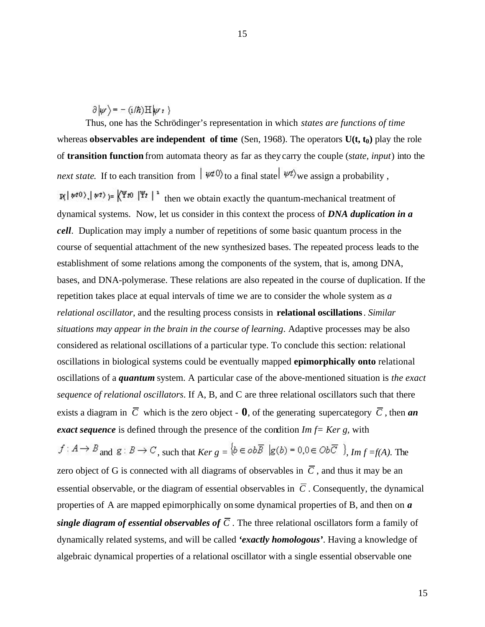$\partial | \psi \rangle = - (i/\hbar) H | \psi \rangle$ 

Thus, one has the Schrödinger's representation in which *states are functions of time* whereas **observables are independent of time** (Sen, 1968). The operators  $U(t, t_0)$  play the role of **transition function** from automata theory as far as they carry the couple (*state, input*) into the *next state.* If to each transition from  $|\psi \psi(0)\rangle$  to a final state  $|\psi \psi\rangle$  we assign a probability.  $\mathbf{r}$   $\left\{\mathbf{w}(t)\right\}$   $\left\{\mathbf{w}(t)\right\} = \left\{\begin{matrix} \mathbf{w}(t) \\ \mathbf{w}(t) \end{matrix}\right\}^T$  then we obtain exactly the quantum-mechanical treatment of dynamical systems. Now, let us consider in this context the process of *DNA duplication in a cell*. Duplication may imply a number of repetitions of some basic quantum process in the course of sequential attachment of the new synthesized bases. The repeated process leads to the establishment of some relations among the components of the system, that is, among DNA, bases, and DNA-polymerase. These relations are also repeated in the course of duplication. If the repetition takes place at equal intervals of time we are to consider the whole system as *a relational oscillator*, and the resulting process consists in **relational oscillations**. *Similar situations may appear in the brain in the course of learning*. Adaptive processes may be also considered as relational oscillations of a particular type. To conclude this section: relational oscillations in biological systems could be eventually mapped **epimorphically onto** relational oscillations of a *quantum* system. A particular case of the above-mentioned situation is *the exact sequence of relational oscillators*. If A, B, and C are three relational oscillators such that there exists a diagram in  $\overline{C}$  which is the zero object - **0**, of the generating supercategory  $\overline{C}$ , then **an** *exact sequence* is defined through the presence of the condition *Im f= Ker g,* with  $f: A \to B$  and  $g: B \to C$ , such that  $Ker g = \{b \in ob\overline{B} \mid g(b) = 0, 0 \in Ob\overline{C} \}$ ,  $Im f = f(A)$ . The zero object of G is connected with all diagrams of observables in  $\overline{C}$ , and thus it may be an essential observable, or the diagram of essential observables in  $\overline{C}$ . Consequently, the dynamical

properties of A are mapped epimorphically on some dynamical properties of B, and then on *a single diagram of essential observables of*  $\overline{C}$ . The three relational oscillators form a family of dynamically related systems, and will be called *'exactly homologous'*. Having a knowledge of algebraic dynamical properties of a relational oscillator with a single essential observable one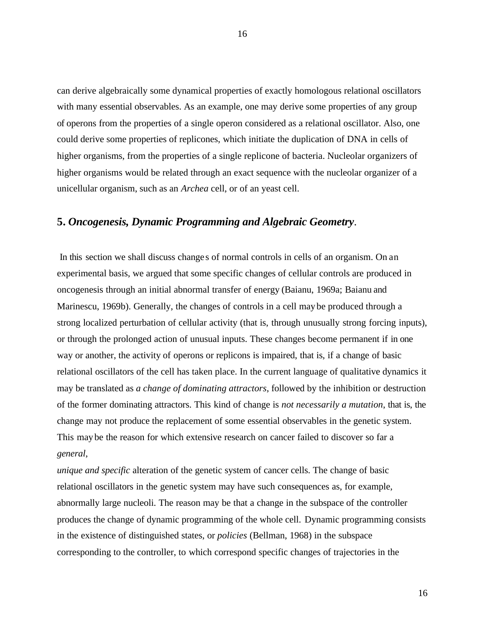can derive algebraically some dynamical properties of exactly homologous relational oscillators with many essential observables. As an example, one may derive some properties of any group of operons from the properties of a single operon considered as a relational oscillator. Also, one could derive some properties of replicones, which initiate the duplication of DNA in cells of higher organisms, from the properties of a single replicone of bacteria. Nucleolar organizers of higher organisms would be related through an exact sequence with the nucleolar organizer of a unicellular organism, such as an *Archea* cell, or of an yeast cell.

## **5.** *Oncogenesis, Dynamic Programming and Algebraic Geometry*.

 In this section we shall discuss change s of normal controls in cells of an organism. On an experimental basis, we argued that some specific changes of cellular controls are produced in oncogenesis through an initial abnormal transfer of energy (Baianu, 1969a; Baianu and Marinescu, 1969b). Generally, the changes of controls in a cell maybe produced through a strong localized perturbation of cellular activity (that is, through unusually strong forcing inputs), or through the prolonged action of unusual inputs. These changes become permanent if in one way or another, the activity of operons or replicons is impaired, that is, if a change of basic relational oscillators of the cell has taken place. In the current language of qualitative dynamics it may be translated as *a change of dominating attractors*, followed by the inhibition or destruction of the former dominating attractors. This kind of change is *not necessarily a mutation*, that is, the change may not produce the replacement of some essential observables in the genetic system. This may be the reason for which extensive research on cancer failed to discover so far a *general*,

*unique and specific* alteration of the genetic system of cancer cells. The change of basic relational oscillators in the genetic system may have such consequences as, for example, abnormally large nucleoli. The reason may be that a change in the subspace of the controller produces the change of dynamic programming of the whole cell. Dynamic programming consists in the existence of distinguished states, or *policies* (Bellman, 1968) in the subspace corresponding to the controller, to which correspond specific changes of trajectories in the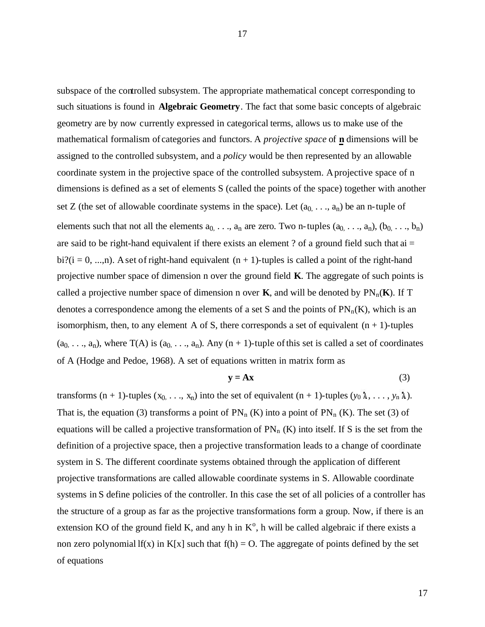subspace of the controlled subsystem. The appropriate mathematical concept corresponding to such situations is found in **Algebraic Geometry**. The fact that some basic concepts of algebraic geometry are by now currently expressed in categorical terms, allows us to make use of the mathematical formalism of categories and functors. A *projective space* of **n** dimensions will be assigned to the controlled subsystem, and a *policy* would be then represented by an allowable coordinate system in the projective space of the controlled subsystem. Aprojective space of n dimensions is defined as a set of elements S (called the points of the space) together with another set Z (the set of allowable coordinate systems in the space). Let  $(a_0, \ldots, a_n)$  be an n-tuple of elements such that not all the elements  $a_0, \ldots, a_n$  are zero. Two n-tuples  $(a_0, \ldots, a_n)$ ,  $(b_0, \ldots, b_n)$ are said to be right-hand equivalent if there exists an element ? of a ground field such that  $ai =$ bi?(i = 0, ...,n). A set of right-hand equivalent  $(n + 1)$ -tuples is called a point of the right-hand projective number space of dimension n over the ground field **K**. The aggregate of such points is called a projective number space of dimension n over **K**, and will be denoted by  $PN_n(K)$ . If T denotes a correspondence among the elements of a set S and the points of  $PN_n(K)$ , which is an isomorphism, then, to any element A of S, there corresponds a set of equivalent  $(n + 1)$ -tuples  $(a_0, \ldots, a_n)$ , where T(A) is  $(a_0, \ldots, a_n)$ . Any  $(n + 1)$ -tuple of this set is called a set of coordinates of A (Hodge and Pedoe, 1968). A set of equations written in matrix form as

$$
y = Ax \tag{3}
$$

transforms  $(n + 1)$ -tuples  $(x_0, ..., x_n)$  into the set of equivalent  $(n + 1)$ -tuples  $(y_0, \lambda, ..., y_n, \lambda)$ . That is, the equation (3) transforms a point of  $PN_n(K)$  into a point of  $PN_n(K)$ . The set (3) of equations will be called a projective transformation of  $PN_n(K)$  into itself. If S is the set from the definition of a projective space, then a projective transformation leads to a change of coordinate system in S. The different coordinate systems obtained through the application of different projective transformations are called allowable coordinate systems in S. Allowable coordinate systems in S define policies of the controller. In this case the set of all policies of a controller has the structure of a group as far as the projective transformations form a group. Now, if there is an extension KO of the ground field K, and any h in  $K^{\circ}$ , h will be called algebraic if there exists a non zero polynomial lf(x) in K[x] such that  $f(h) = O$ . The aggregate of points defined by the set of equations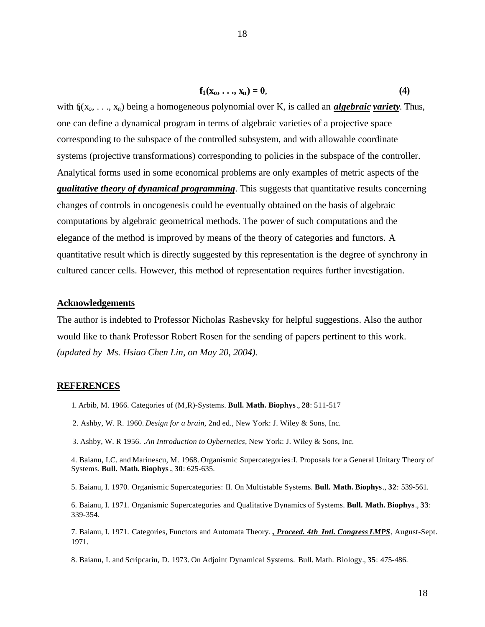$$
\mathbf{f}_1(\mathbf{x}_0,\ldots,\mathbf{x}_n)=\mathbf{0},\qquad \qquad (4)
$$

with  $f_l(x_0, \ldots, x_n)$  being a homogeneous polynomial over K, is called an *algebraic variety*. Thus, one can define a dynamical program in terms of algebraic varieties of a projective space corresponding to the subspace of the controlled subsystem, and with allowable coordinate systems (projective transformations) corresponding to policies in the subspace of the controller. Analytical forms used in some economical problems are only examples of metric aspects of the *qualitative theory of dynamical programming*. This suggests that quantitative results concerning changes of controls in oncogenesis could be eventually obtained on the basis of algebraic computations by algebraic geometrical methods. The power of such computations and the elegance of the method is improved by means of the theory of categories and functors. A quantitative result which is directly suggested by this representation is the degree of synchrony in cultured cancer cells. However, this method of representation requires further investigation.

### **Acknowledgements**

The author is indebted to Professor Nicholas Rashevsky for helpful suggestions. Also the author would like to thank Professor Robert Rosen for the sending of papers pertinent to this work. *(updated by Ms. Hsiao Chen Lin, on May 20, 2004).*

### **REFERENCES**

- 1. Arbib, M. 1966. Categories of (M,R)-Systems. **Bull. Math. Biophys**., **28**: 511-517
- 2. Ashby, W. R. 1960. *Design for a brain,* 2nd ed., New York: J. Wiley & Sons, Inc.
- 3. Ashby, W. R 1956. *.An Introduction to Oybernetics,* New York: J. Wiley & Sons, Inc.

4. Baianu, I.C. and Marinescu, M. 1968. Organismic Supercategories:I. Proposals for a General Unitary Theory of Systems. **Bull. Math. Biophys**., **30**: 625-635.

5. Baianu, I. 1970. Organismic Supercategories: II. On Multistable Systems. **Bull. Math. Biophys**., **32**: 539-561.

6. Baianu, I. 1971. Organismic Supercategories and Qualitative Dynamics of Systems. **Bull. Math. Biophys**., **33**: 339-354.

7. Baianu, I. 1971. Categories, Functors and Automata Theory. *, Proceed. 4th Intl. Congress LMPS*, August-Sept. 1971.

8. Baianu, I. and Scripcariu, D. 1973. On Adjoint Dynamical Systems. Bull. Math. Biology., **35**: 475-486.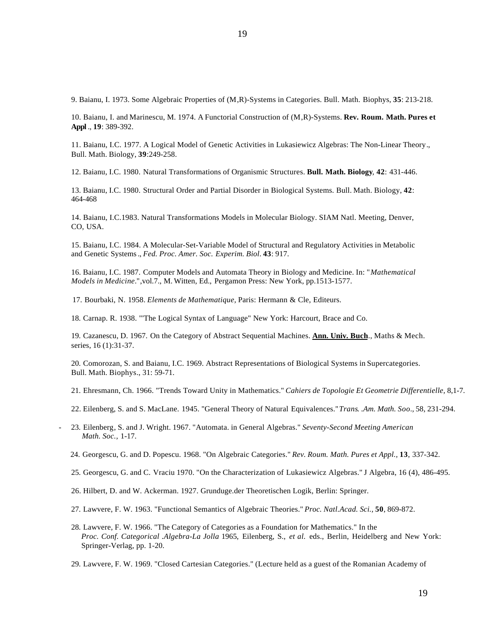9. Baianu, I. 1973. Some Algebraic Properties of (M,R)-Systems in Categories. Bull. Math. Biophys, **35**: 213-218.

10. Baianu, I. and Marinescu, M. 1974. A Functorial Construction of (M,R)-Systems. **Rev. Roum. Math. Pures et Appl** ., **19**: 389-392.

11. Baianu, I.C. 1977. A Logical Model of Genetic Activities in Lukasiewicz Algebras: The Non-Linear Theory., Bull. Math. Biology, **39**:249-258.

12. Baianu, I.C. 1980. Natural Transformations of Organismic Structures. **Bull. Math. Biology**, **42**: 431-446.

13. Baianu, I.C. 1980. Structural Order and Partial Disorder in Biological Systems. Bull. Math. Biology, **42**: 464-468

14. Baianu, I.C.1983. Natural Transformations Models in Molecular Biology. SIAM Natl. Meeting, Denver, CO, USA.

15. Baianu, I.C. 1984. A Molecular-Set-Variable Model of Structural and Regulatory Activities in Metabolic and Genetic Systems., *Fed. Proc. Amer. Soc. Experim. Biol*. **43**: 917.

16. Baianu, I.C. 1987. Computer Models and Automata Theory in Biology and Medicine. In: "*Mathematical Models in Medicine*.",vol.7., M. Witten, Ed., Pergamon Press: New York, pp.1513-1577.

17. Bourbaki, N. 1958. *Elements de Mathematique,* Paris: Hermann & Cle, Editeurs.

18. Carnap. R. 1938. "'The Logical Syntax of Language" New York: Harcourt, Brace and Co.

19. Cazanescu, D. 1967. On the Category of Abstract Sequential Machines. **Ann. Univ. Buch**., Maths & Mech. series, 16 (1):31-37.

20. Comorozan, S. and Baianu, I.C. 1969. Abstract Representations of Biological Systems in Supercategories. Bull. Math. Biophys., 31: 59-71.

21. Ehresmann, Ch. 1966. "Trends Toward Unity in Mathematics." *Cahiers de Topologie Et Geometrie Differentielle,* 8,1-7.

- 22. Eilenberg, S. and S. MacLane. 1945. "General Theory of Natural Equivalences."*Trans. .Am. Math. Soo.,* 58, 231-294.
- 23. Eilenberg, S. and J. Wright. 1967. "Automata. in General Algebras." *Seventy-Second Meeting American Math. Soc.,* 1-17.
	- 24. Georgescu, G. and D. Popescu. 1968. "On Algebraic Categories." *Rev. Roum. Math. Pures et Appl.,* **13**, 337-342.
	- 25. Georgescu, G. and C. Vraciu 1970. "On the Characterization of Lukasiewicz Algebras." J Algebra, 16 (4), 486-495.
	- 26. Hilbert, D. and W. Ackerman. 1927. Grunduge.der Theoretischen Logik, Berlin: Springer.
	- 27. Lawvere, F. W. 1963. "Functional Semantics of Algebraic Theories." *Proc. Natl.Acad. Sci.,* **50**, 869-872.
	- 28. Lawvere, F. W. 1966. "The Category of Categories as a Foundation for Mathematics." In the *Proc. Conf. Categorical .Algebra-La Jolla* 1965, Eilenberg, S., *et al.* eds., Berlin, Heidelberg and New York: Springer-Verlag, pp. 1-20.
	- 29. Lawvere, F. W. 1969. "Closed Cartesian Categories." (Lecture held as a guest of the Romanian Academy of